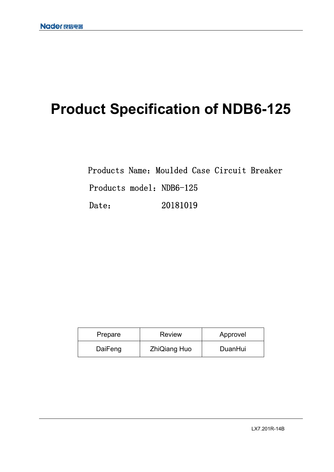# **Product Specification of NDB6-125**

Products Name: Moulded Case Circuit Breaker Products model: NDB6-125 Date: 20181019

| Prepare | <b>Review</b>       | Approvel |
|---------|---------------------|----------|
| DaiFeng | <b>ZhiQiang Huo</b> | DuanHui  |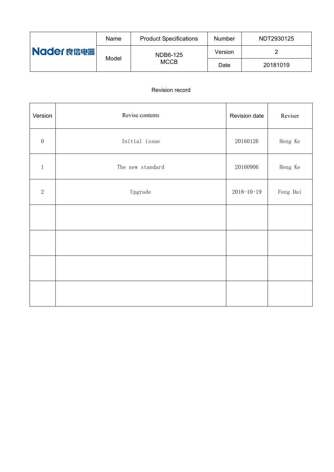| Nader 良信电器 | Name  | <b>Product Specifications</b> | <b>Number</b> | NDT2930125 |
|------------|-------|-------------------------------|---------------|------------|
|            | Model | <b>NDB6-125</b>               | Version       |            |
|            |       | <b>MCCB</b>                   | Date          | 20181019   |

# Revision record

| Version          | Revise contents  | Revision date    | Reviser  |
|------------------|------------------|------------------|----------|
| $\boldsymbol{0}$ | Initial issue    | 20160126         | Heng Ke  |
| $\mathbf{1}$     | The new standard | 20160906         | Heng Ke  |
| $\sqrt{2}$       | Upgrade          | $2018 - 10 - 19$ | Feng Dai |
|                  |                  |                  |          |
|                  |                  |                  |          |
|                  |                  |                  |          |
|                  |                  |                  |          |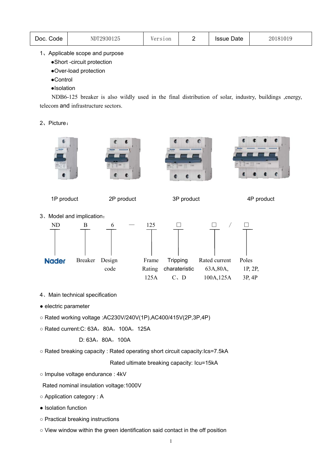| Doc.<br>Code | NDT2930125 | ersion |  | <b>Issue Date</b> | 181019<br>201 |
|--------------|------------|--------|--|-------------------|---------------|
|--------------|------------|--------|--|-------------------|---------------|

## 1、Applicable scope and purpose

- ●Short -circuit protection
- ●Over-load protection
- ●Control
- ●Isolation

NDB6-125 breaker is also wildly used in the final distribution of solar, industry, buildings ,energy, telecom and infrastructure sectors.

#### 2、Picture:









1P product 2P product 3P product 4P product

3、Model and implication:



- 4、Main technical specification
- electric parameter
- Rated working voltage :AC230V/240V(1P),AC400/415V(2P,3P,4P)
- Rated current:C: 63A,80A,100A,125A

D: 63A, 80A, 100A

○ Rated breaking capacity : Rated operating short circuit capacity:Ics=7.5kA

Rated ultimate breaking capacity: Icu=15kA

○ Impulse voltage endurance : 4kV

Rated nominal insulation voltage:1000V

- Application category : A
- Isolation function
- Practical breaking instructions
- View window within the green identification said contact in the off position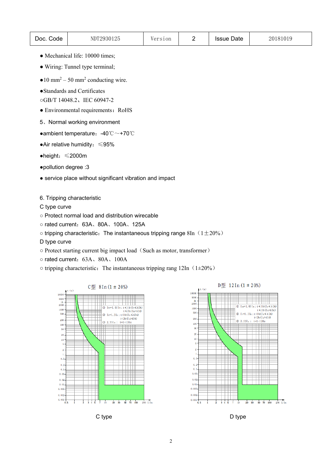| Doc.<br>Code | NDT2930125 | Version |  | <b>Issue Date</b> | 20181019 |
|--------------|------------|---------|--|-------------------|----------|
|--------------|------------|---------|--|-------------------|----------|

- Mechanical life: 10000 times;
- Wiring: Tunnel type terminal;
- $\bullet$  10 mm<sup>2</sup> 50 mm<sup>2</sup> conducting wire.
- ●Standards and Certificates
- ○GB/T 14048.2、IEC 60947-2
- Environmental requirements: RoHS
- 5、Normal working environment
- ●ambient temperature:-40℃~+70℃
- ●Air relative humidity:≤95%
- ●height:≤2000m
- ●pollution degree :3
- service place without significant vibration and impact
- 6. Tripping characteristic
- C type curve
- Protect normal load and distribution wirecable
- rated current:63A、80A、100A、125A
- $\circ$  tripping characteristic: The instantaneous tripping range 8In (1 $\pm$ 20%)
- D type curve
- o Protect starting current big impact load (Such as motor, transformer)
- o rated current: 63A、80A、100A
- $\circ$  tripping characteristic: The instantaneous tripping rang 12In (1 $\pm$ 20%)







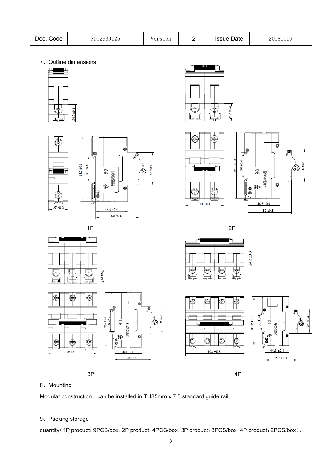| Doc.<br>odeٽ | NDT2930125 | ersion |  | <b>Issue Date</b> | 20181019 |
|--------------|------------|--------|--|-------------------|----------|
|--------------|------------|--------|--|-------------------|----------|

7、Outline dimensions





 $91.2 \pm 0.8$ 

36 ±0.4

o

 $\widehat{\widehat{\phantom{m}}}$ 

ŧР

m

MOOS







⊫

ᅴ

╠

 $24.3 + 0.3$ 





Ô

Ô

 $\mathop{\mathscr{O}}\limits^{\textcircled{\tiny{\complement}}\, \textcirc}$ 

45 ±0.4







## 8、Mounting

€

Œ

Modular construction, can be installed in TH35mm x 7.5 standard guide rail

## 9、Packing storage

quantity (1P product: 9PCS/box, 2P product: 4PCS/box, 3P product: 3PCS/box, 4P product: 2PCS/box),